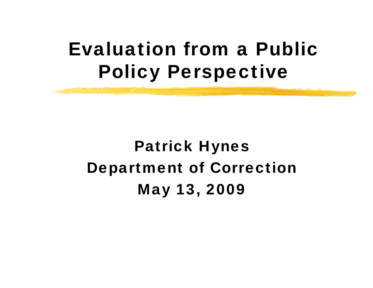#### Evaluation from a Public Policy Perspective

#### Patrick Hynes Department of Correction May 13, 2009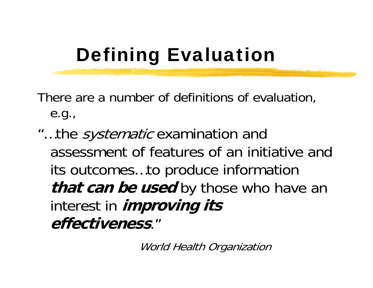# Defining Evaluation

There are a number of definitions of evaluation, e.g.,

"...the *systematic* examination and assessment of features of an initiative and its outcomes…to produce information **that can be used** by those who have an interest in **improving its effectiveness**."

World Health Organization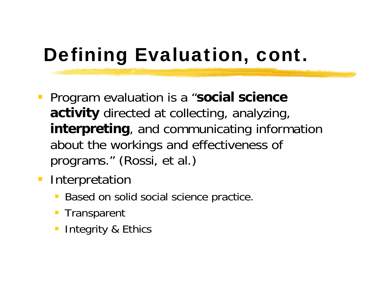# Defining Evaluation, cont.

- **Program evaluation is a "social science activity** directed at collecting, analyzing, **interpreting**, and communicating information about the workings and effectiveness of programs." (Rossi, et al.)
- **Interpretation** 
	- **Based on solid social science practice.**
	- **Transparent**
	- **Integrity & Ethics**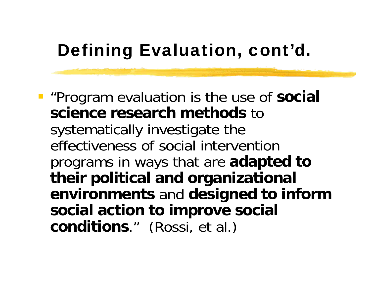#### Defining Evaluation, cont'd.

 "Program evaluation is the use of **social science research methods** to systematically investigate the effectiveness of social intervention programs in ways that are **adapted to their political and organizational environments** and **designed to inform social action to improve social conditions**." (Rossi, et al.)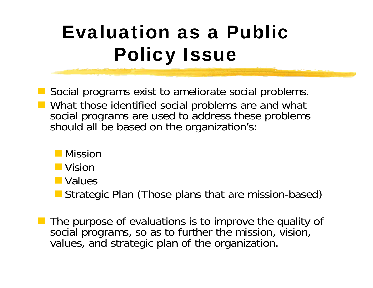# Evaluation as a Public Policy Issue

 Social programs exist to ameliorate social problems. **Notamark 19 Yealth Common Startupe Common Startupe Common Startupe Common Startupe Common Startupe Common Startupe Common Startupe Common Startupe Common Startupe Common Startupe Common Startupe Common Startupe Common Sta** social programs are used to address these problems should all be based on the organization's:

- **Nission**
- **Nision**
- **Nalues**
- **Strategic Plan (Those plans that are mission-based)**
- The purpose of evaluations is to improve the quality of social programs, so as to further the mission, vision, values, and strategic plan of the organization.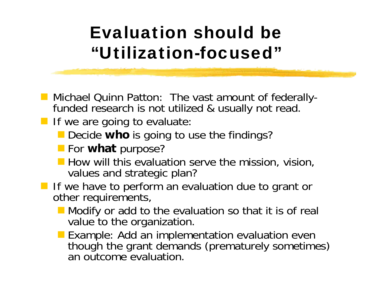#### Evaluation should be "Utilization-focused"

- **Michael Quinn Patton: The vast amount of federally**funded research is not utilized & usually not read.
- **If we are going to evaluate:** 
	- **Decide who** is going to use the findings?
	- **For what** purpose?
	- **How will this evaluation serve the mission, vision,** values and strategic plan?
- **If** If we have to perform an evaluation due to grant or other requirements,
	- Modify or add to the evaluation so that it is of real value to the organization.
	- Example: Add an implementation evaluation even though the grant demands (prematurely sometimes) an outcome evaluation.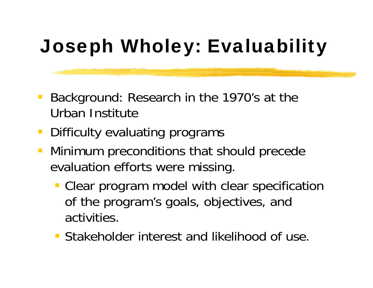# Joseph Wholey: Evaluability

- Background: Research in the 1970's at the Urban Institute
- Difficulty evaluating programs
- Minimum preconditions that should precede evaluation efforts were missing.
	- **Clear program model with clear specification** of the program's goals, objectives, and activities.
	- **Stakeholder interest and likelihood of use.**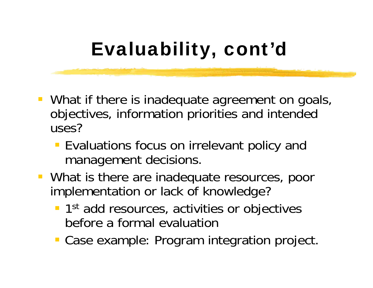# Evaluability, cont'd

- **What if there is inadequate agreement on goals,** objectives, information priorities and intended uses?
	- **Evaluations focus on irrelevant policy and** management decisions.
- **What is there are inadequate resources, poor** implementation or lack of knowledge?
	- **1st add resources, activities or objectives** before a formal evaluation
	- **Case example: Program integration project.**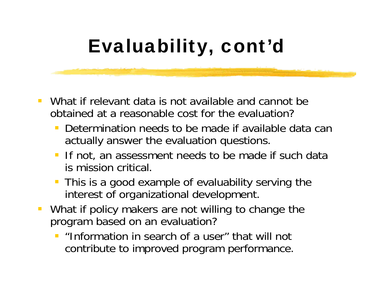## Evaluability, cont'd

- $\mathbb{R}^2$  What if relevant data is not available and cannot be obtained at a reasonable cost for the evaluation?
	- Determination needs to be made if available data can actually answer the evaluation questions.
	- If not, an assessment needs to be made if such data is mission critical.
	- **This is a good example of evaluability serving the** interest of organizational development.
- $\mathcal{L}_{\mathcal{A}}$  What if policy makers are not willing to change the program based on an evaluation?
	- $\overline{\phantom{a}}$  "Information in search of a user" that will not contribute to improved program performance.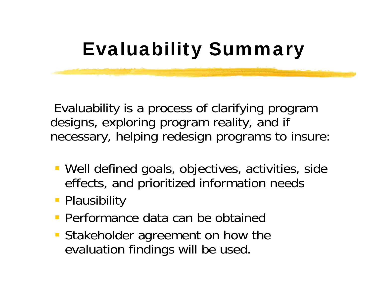#### Evaluability Summary

Evaluability is a process of clarifying program designs, exploring program reality, and if necessary, helping redesign programs to insure:

- Well defined goals, objectives, activities, side effects, and prioritized information needs
- **Plausibility**
- Performance data can be obtained
- **Stakeholder agreement on how the** evaluation findings will be used.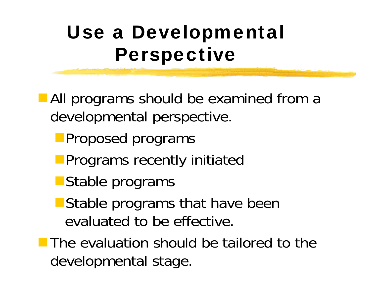## Use a Developmental Perspective

**All programs should be examined from a** developmental perspective.

- **Proposed programs**
- **Programs recently initiated**
- **Stable programs**
- **Stable programs that have been** evaluated to be effective.

**The evaluation should be tailored to the** developmental stage.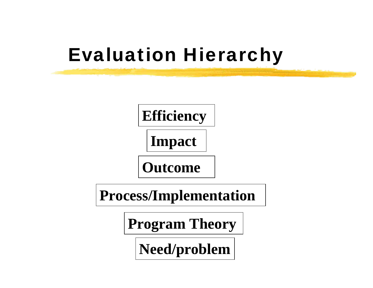#### Evaluation Hierarchy



**Process/Implementation**

**Program Theory**

**Need/problem**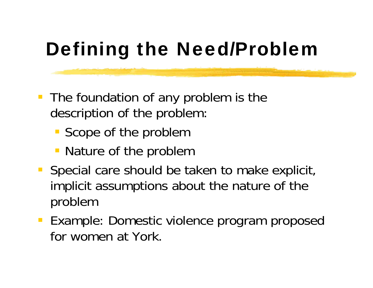# Defining the Need/Problem

- **The foundation of any problem is the** description of the problem:
	- Scope of the problem
	- Nature of the problem
- **Special care should be taken to make explicit,** implicit assumptions about the nature of the problem
- **Example: Domestic violence program proposed** for women at York.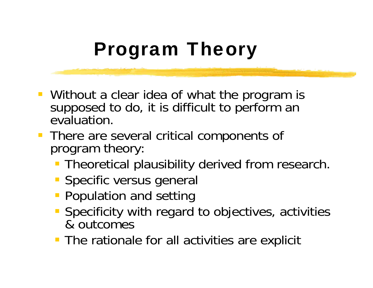# Program Theory

- **Without a clear idea of what the program is** supposed to do, it is difficult to perform an evaluation.
- **There are several critical components of** program theory:
	- **Theoretical plausibility derived from research.**
	- **Specific versus general**
	- **Population and setting**
	- **Specificity with regard to objectives, activities** & outcomes
	- **The rationale for all activities are explicit**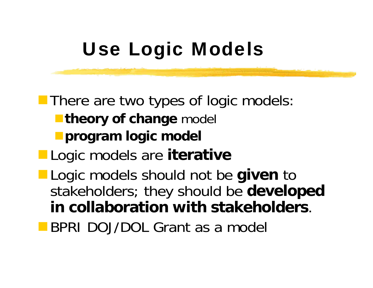# Use Logic Models

**There are two types of logic models: Theory of change model program logic model** Logic models are **iterative** Logic models should not be **given** to stakeholders; they should be **developed in collaboration with stakeholders**. **BPRI DOJ/DOL Grant as a model**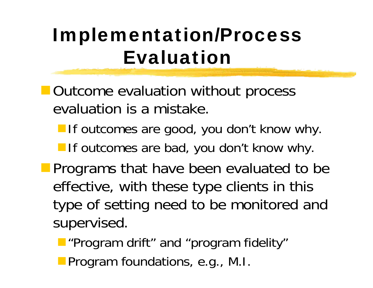# Implementation/Process Evaluation

- **Outcome evaluation without process** evaluation is a mistake.
	- **If outcomes are good, you don't know why.**
	- **If outcomes are bad, you don't know why.**
- **Programs that have been evaluated to be** effective, with these type clients in this type of setting need to be monitored and supervised.
	- **Program drift" and "program fidelity"**
	- **Program foundations, e.g., M.I.**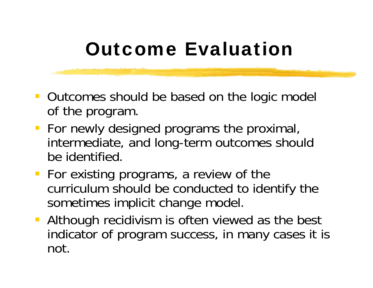#### Outcome Evaluation

- **Dutcomes should be based on the logic model** of the program.
- **For newly designed programs the proximal,** intermediate, and long-term outcomes should be identified.
- **For existing programs, a review of the** curriculum should be conducted to identify the sometimes implicit change model.
- **Although recidivism is often viewed as the best** indicator of program success, in many cases it is not.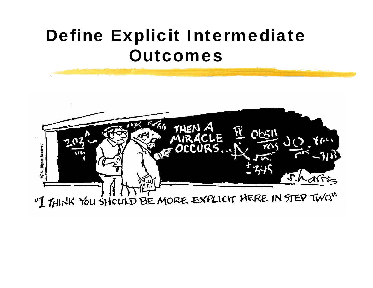#### Define Explicit Intermediate Outcomes

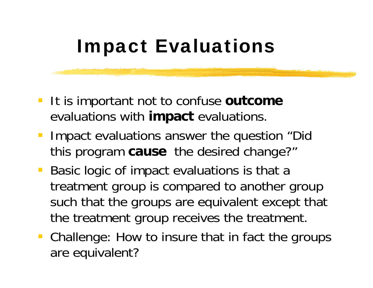#### Impact Evaluations

- **It is important not to confuse outcome** evaluations with **impact** evaluations.
- **Impact evaluations answer the question "Did** this program **cause** the desired change?"
- **Basic logic of impact evaluations is that a** treatment group is compared to another group such that the groups are equivalent except that the treatment group receives the treatment.
- Challenge: How to insure that in fact the groups are equivalent?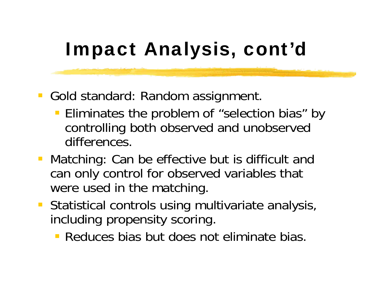# Impact Analysis, cont'd

- **Gold standard: Random assignment.** 
	- **Eliminates the problem of "selection bias" by** controlling both observed and unobserved differences.
- **Matching: Can be effective but is difficult and** can only control for observed variables that were used in the matching.
- **Statistical controls using multivariate analysis,** including propensity scoring.
	- **Reduces bias but does not eliminate bias.**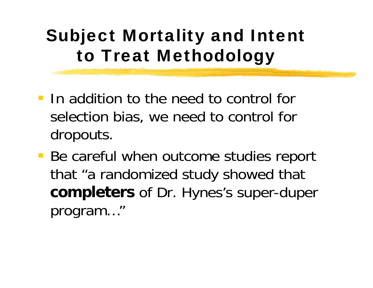#### Subject Mortality and Intent to Treat Methodology

- **If addition to the need to control for** selection bias, we need to control for dropouts.
- **Be careful when outcome studies report** that "a randomized study showed that **completers** of Dr. Hynes's super-duper program…"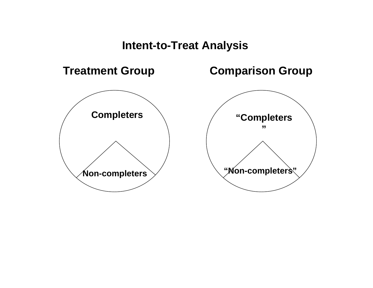#### **Intent-to-Treat Analysis**

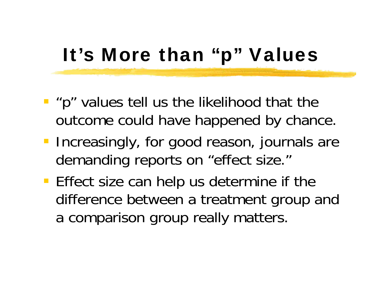#### It's More than "p" Values

- **P** "p" values tell us the likelihood that the outcome could have happened by chance.
- **Increasingly, for good reason, journals are** demanding reports on "effect size."
- **Effect size can help us determine if the** difference between a treatment group and a comparison group really matters.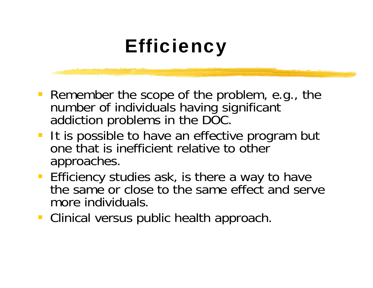#### **Efficiency**

- **Remember the scope of the problem, e.g., the** number of individuals having significant addiction problems in the DOC.
- **If is possible to have an effective program but** one that is inefficient relative to other approaches.
- **Efficiency studies ask, is there a way to have** the same or close to the same effect and serve more individuals.
- **Clinical versus public health approach.**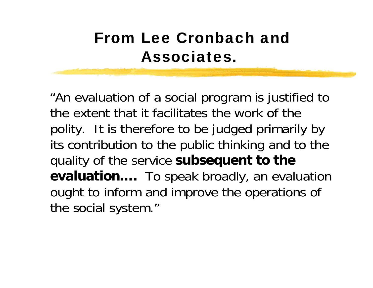#### From Lee Cronbach and Associates.

"An evaluation of a social program is justified to the extent that it facilitates the work of the polity. It is therefore to be judged primarily by its contribution to the public thinking and to the quality of the service **subsequent to the evaluation….** To speak broadly, an evaluation ought to inform and improve the operations of the social system."